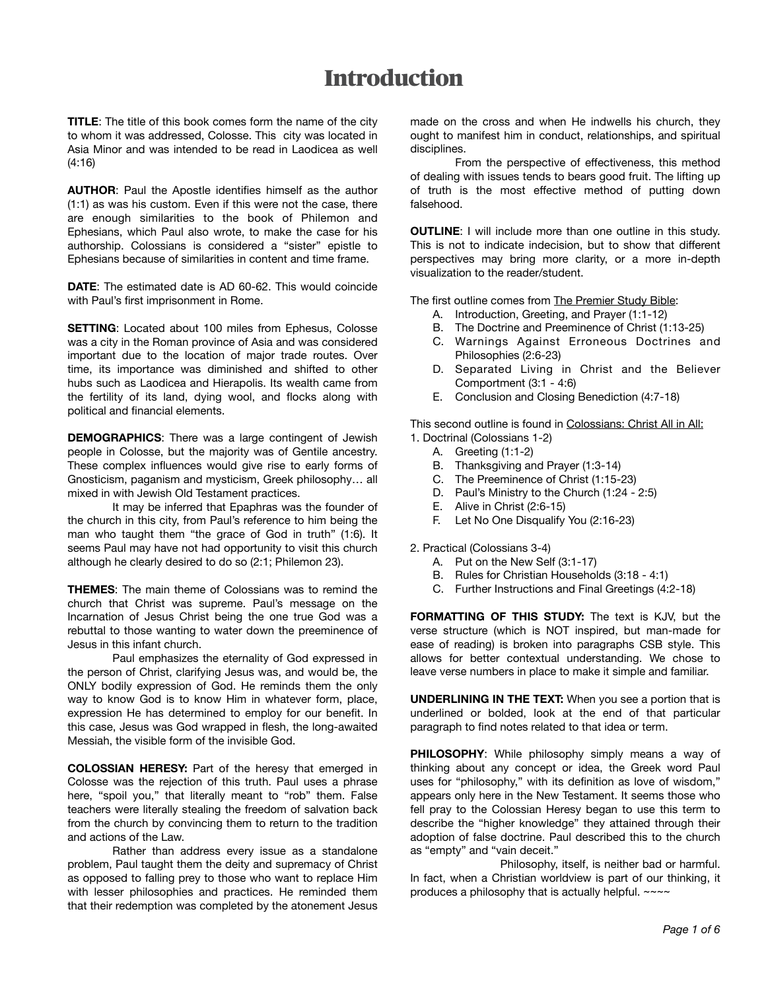## **Introduction**

**TITLE**: The title of this book comes form the name of the city to whom it was addressed, Colosse. This city was located in Asia Minor and was intended to be read in Laodicea as well (4:16)

**AUTHOR**: Paul the Apostle identifies himself as the author (1:1) as was his custom. Even if this were not the case, there are enough similarities to the book of Philemon and Ephesians, which Paul also wrote, to make the case for his authorship. Colossians is considered a "sister" epistle to Ephesians because of similarities in content and time frame.

**DATE**: The estimated date is AD 60-62. This would coincide with Paul's first imprisonment in Rome.

**SETTING**: Located about 100 miles from Ephesus, Colosse was a city in the Roman province of Asia and was considered important due to the location of major trade routes. Over time, its importance was diminished and shifted to other hubs such as Laodicea and Hierapolis. Its wealth came from the fertility of its land, dying wool, and flocks along with political and financial elements.

**DEMOGRAPHICS**: There was a large contingent of Jewish people in Colosse, but the majority was of Gentile ancestry. These complex influences would give rise to early forms of Gnosticism, paganism and mysticism, Greek philosophy… all mixed in with Jewish Old Testament practices.

It may be inferred that Epaphras was the founder of the church in this city, from Paul's reference to him being the man who taught them "the grace of God in truth" (1:6). It seems Paul may have not had opportunity to visit this church although he clearly desired to do so (2:1; Philemon 23).

**THEMES**: The main theme of Colossians was to remind the church that Christ was supreme. Paul's message on the Incarnation of Jesus Christ being the one true God was a rebuttal to those wanting to water down the preeminence of Jesus in this infant church.

Paul emphasizes the eternality of God expressed in the person of Christ, clarifying Jesus was, and would be, the ONLY bodily expression of God. He reminds them the only way to know God is to know Him in whatever form, place, expression He has determined to employ for our benefit. In this case, Jesus was God wrapped in flesh, the long-awaited Messiah, the visible form of the invisible God.

**COLOSSIAN HERESY:** Part of the heresy that emerged in Colosse was the rejection of this truth. Paul uses a phrase here, "spoil you," that literally meant to "rob" them. False teachers were literally stealing the freedom of salvation back from the church by convincing them to return to the tradition and actions of the Law.

Rather than address every issue as a standalone problem, Paul taught them the deity and supremacy of Christ as opposed to falling prey to those who want to replace Him with lesser philosophies and practices. He reminded them that their redemption was completed by the atonement Jesus

made on the cross and when He indwells his church, they ought to manifest him in conduct, relationships, and spiritual disciplines.

From the perspective of effectiveness, this method of dealing with issues tends to bears good fruit. The lifting up of truth is the most effective method of putting down falsehood.

**OUTLINE**: I will include more than one outline in this study. This is not to indicate indecision, but to show that different perspectives may bring more clarity, or a more in-depth visualization to the reader/student.

The first outline comes from The Premier Study Bible:

- A. Introduction, Greeting, and Prayer (1:1-12)
- B. The Doctrine and Preeminence of Christ (1:13-25)
- C. Warnings Against Erroneous Doctrines and Philosophies (2:6-23)
- D. Separated Living in Christ and the Believer Comportment (3:1 - 4:6)
- E. Conclusion and Closing Benediction (4:7-18)

This second outline is found in Colossians: Christ All in All: 1. Doctrinal (Colossians 1-2)

- A. Greeting (1:1-2)
- B. Thanksgiving and Prayer (1:3-14)
- C. The Preeminence of Christ (1:15-23)
- D. Paul's Ministry to the Church (1:24 2:5)
- E. Alive in Christ (2:6-15)
- F. Let No One Disqualify You (2:16-23)

2. Practical (Colossians 3-4)

- A. Put on the New Self (3:1-17)
- B. Rules for Christian Households (3:18 4:1)
- C. Further Instructions and Final Greetings (4:2-18)

**FORMATTING OF THIS STUDY:** The text is KJV, but the verse structure (which is NOT inspired, but man-made for ease of reading) is broken into paragraphs CSB style. This allows for better contextual understanding. We chose to leave verse numbers in place to make it simple and familiar.

**UNDERLINING IN THE TEXT:** When you see a portion that is underlined or bolded, look at the end of that particular paragraph to find notes related to that idea or term.

**PHILOSOPHY**: While philosophy simply means a way of thinking about any concept or idea, the Greek word Paul uses for "philosophy," with its definition as love of wisdom," appears only here in the New Testament. It seems those who fell pray to the Colossian Heresy began to use this term to describe the "higher knowledge" they attained through their adoption of false doctrine. Paul described this to the church as "empty" and "vain deceit."

 Philosophy, itself, is neither bad or harmful. In fact, when a Christian worldview is part of our thinking, it produces a philosophy that is actually helpful. ~~~~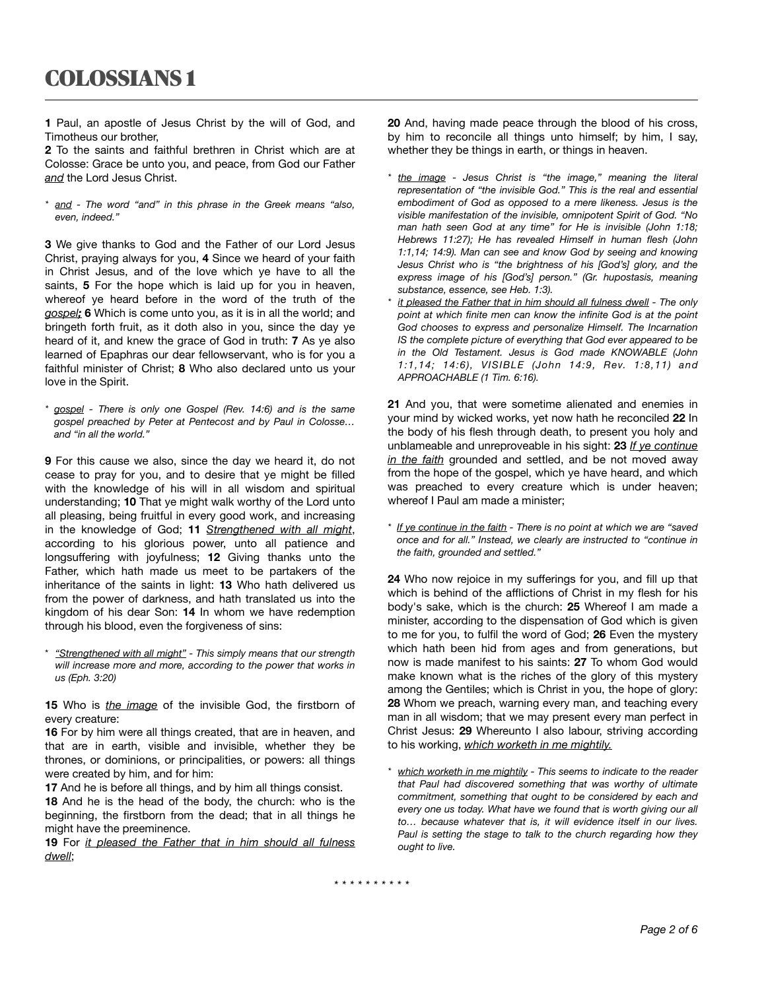**1** Paul, an apostle of Jesus Christ by the will of God, and Timotheus our brother,

**2** To the saints and faithful brethren in Christ which are at Colosse: Grace be unto you, and peace, from God our Father *and* the Lord Jesus Christ.

*\* and - The word "and" in this phrase in the Greek means "also, even, indeed."* 

**3** We give thanks to God and the Father of our Lord Jesus Christ, praying always for you, **4** Since we heard of your faith in Christ Jesus, and of the love which ye have to all the saints, **5** For the hope which is laid up for you in heaven, whereof ye heard before in the word of the truth of the *gospel;* **6** Which is come unto you, as it is in all the world; and bringeth forth fruit, as it doth also in you, since the day ye heard of it, and knew the grace of God in truth: **7** As ye also learned of Epaphras our dear fellowservant, who is for you a faithful minister of Christ; **8** Who also declared unto us your love in the Spirit.

*\* gospel - There is only one Gospel (Rev. 14:6) and is the same gospel preached by Peter at Pentecost and by Paul in Colosse… and "in all the world."* 

**9** For this cause we also, since the day we heard it, do not cease to pray for you, and to desire that ye might be filled with the knowledge of his will in all wisdom and spiritual understanding; **10** That ye might walk worthy of the Lord unto all pleasing, being fruitful in every good work, and increasing in the knowledge of God; **11** *Strengthened with all might*, according to his glorious power, unto all patience and longsuffering with joyfulness; **12** Giving thanks unto the Father, which hath made us meet to be partakers of the inheritance of the saints in light: **13** Who hath delivered us from the power of darkness, and hath translated us into the kingdom of his dear Son: **14** In whom we have redemption through his blood, even the forgiveness of sins:

\* *"Strengthened with all might" - This simply means that our strength will increase more and more, according to the power that works in us (Eph. 3:20)*

**15** Who is *the image* of the invisible God, the firstborn of every creature:

**16** For by him were all things created, that are in heaven, and that are in earth, visible and invisible, whether they be thrones, or dominions, or principalities, or powers: all things were created by him, and for him:

**17** And he is before all things, and by him all things consist.

**18** And he is the head of the body, the church: who is the beginning, the firstborn from the dead; that in all things he might have the preeminence.

**19** For *it pleased the Father that in him should all fulness dwell*;

**20** And, having made peace through the blood of his cross, by him to reconcile all things unto himself; by him, I say, whether they be things in earth, or things in heaven.

- *\* the image Jesus Christ is "the image," meaning the literal representation of "the invisible God." This is the real and essential embodiment of God as opposed to a mere likeness. Jesus is the visible manifestation of the invisible, omnipotent Spirit of God. "No man hath seen God at any time" for He is invisible (John 1:18; Hebrews 11:27); He has revealed Himself in human flesh (John 1:1,14; 14:9). Man can see and know God by seeing and knowing Jesus Christ who is "the brightness of his [God's] glory, and the express image of his [God's] person." (Gr. hupostasis, meaning substance, essence, see Heb. 1:3).*
- *it pleased the Father that in him should all fulness dwell The only point at which finite men can know the infinite God is at the point God chooses to express and personalize Himself. The Incarnation IS the complete picture of everything that God ever appeared to be in the Old Testament. Jesus is God made KNOWABLE (John 1:1,14; 14:6), VISIBLE (John 14:9, Rev. 1:8,11) and APPROACHABLE (1 Tim. 6:16).*

**21** And you, that were sometime alienated and enemies in your mind by wicked works, yet now hath he reconciled **22** In the body of his flesh through death, to present you holy and unblameable and unreproveable in his sight: **23** *If ye continue in the faith* grounded and settled, and be not moved away from the hope of the gospel, which ye have heard, and which was preached to every creature which is under heaven; whereof I Paul am made a minister;

*\* If ye continue in the faith - There is no point at which we are "saved once and for all." Instead, we clearly are instructed to "continue in the faith, grounded and settled."* 

**24** Who now rejoice in my sufferings for you, and fill up that which is behind of the afflictions of Christ in my flesh for his body's sake, which is the church: **25** Whereof I am made a minister, according to the dispensation of God which is given to me for you, to fulfil the word of God; **26** Even the mystery which hath been hid from ages and from generations, but now is made manifest to his saints: **27** To whom God would make known what is the riches of the glory of this mystery among the Gentiles; which is Christ in you, the hope of glory: **28** Whom we preach, warning every man, and teaching every man in all wisdom; that we may present every man perfect in Christ Jesus: **29** Whereunto I also labour, striving according to his working, *which worketh in me mightily.* 

*which worketh in me mightily - This seems to indicate to the reader that Paul had discovered something that was worthy of ultimate commitment, something that ought to be considered by each and every one us today. What have we found that is worth giving our all to… because whatever that is, it will evidence itself in our lives. Paul is setting the stage to talk to the church regarding how they ought to live.*

*\* \* \* \* \* \* \* \* \* \**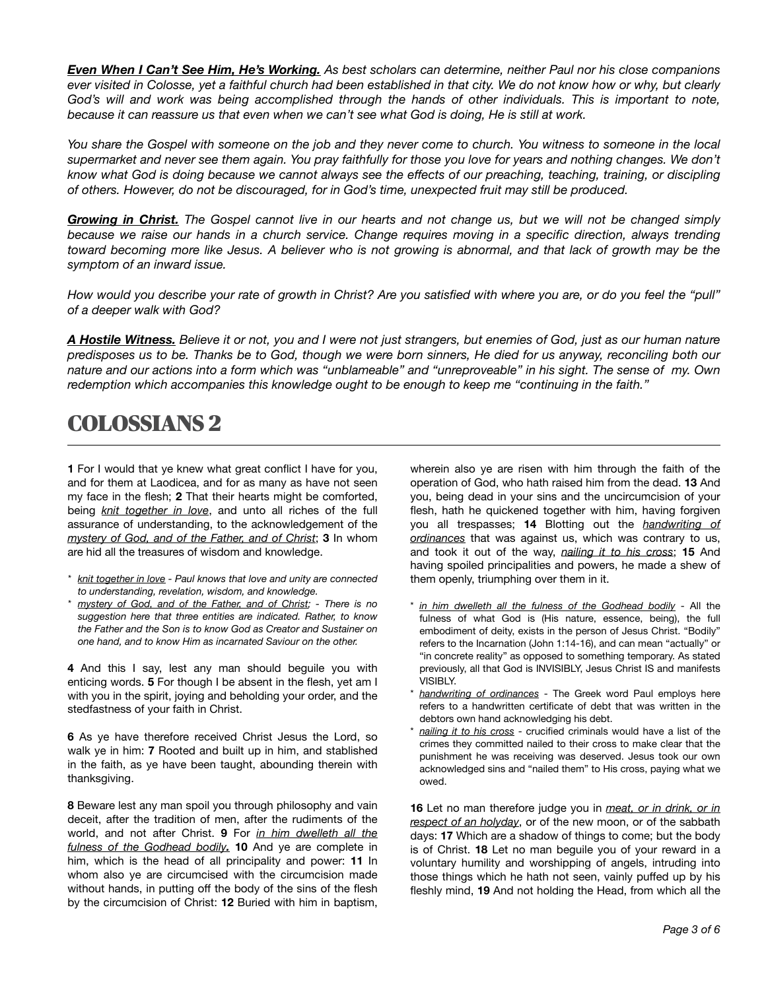*Even When I Can't See Him, He's Working. As best scholars can determine, neither Paul nor his close companions ever visited in Colosse, yet a faithful church had been established in that city. We do not know how or why, but clearly God's will and work was being accomplished through the hands of other individuals. This is important to note, because it can reassure us that even when we can't see what God is doing, He is still at work.* 

*You share the Gospel with someone on the job and they never come to church. You witness to someone in the local*  supermarket and never see them again. You pray faithfully for those you love for years and nothing changes. We don't *know what God is doing because we cannot always see the effects of our preaching, teaching, training, or discipling of others. However, do not be discouraged, for in God's time, unexpected fruit may still be produced.* 

*Growing in Christ. The Gospel cannot live in our hearts and not change us, but we will not be changed simply because we raise our hands in a church service. Change requires moving in a specific direction, always trending toward becoming more like Jesus. A believer who is not growing is abnormal, and that lack of growth may be the symptom of an inward issue.* 

*How would you describe your rate of growth in Christ? Are you satisfied with where you are, or do you feel the "pull" of a deeper walk with God?* 

*A Hostile Witness. Believe it or not, you and I were not just strangers, but enemies of God, just as our human nature predisposes us to be. Thanks be to God, though we were born sinners, He died for us anyway, reconciling both our nature and our actions into a form which was "unblameable" and "unreproveable" in his sight. The sense of my. Own redemption which accompanies this knowledge ought to be enough to keep me "continuing in the faith."* 

# COLOSSIANS 2

**1** For I would that ye knew what great conflict I have for you, and for them at Laodicea, and for as many as have not seen my face in the flesh; **2** That their hearts might be comforted, being *knit together in love*, and unto all riches of the full assurance of understanding, to the acknowledgement of the *mystery of God, and of the Father, and of Christ*; **3** In whom are hid all the treasures of wisdom and knowledge.

- *\* knit together in love Paul knows that love and unity are connected to understanding, revelation, wisdom, and knowledge.*
- *\* mystery of God, and of the Father, and of Christ; There is no suggestion here that three entities are indicated. Rather, to know the Father and the Son is to know God as Creator and Sustainer on one hand, and to know Him as incarnated Saviour on the other.*

**4** And this I say, lest any man should beguile you with enticing words. **5** For though I be absent in the flesh, yet am I with you in the spirit, joying and beholding your order, and the stedfastness of your faith in Christ.

**6** As ye have therefore received Christ Jesus the Lord, so walk ye in him: **7** Rooted and built up in him, and stablished in the faith, as ye have been taught, abounding therein with thanksgiving.

**8** Beware lest any man spoil you through philosophy and vain deceit, after the tradition of men, after the rudiments of the world, and not after Christ. **9** For *in him dwelleth all the fulness of the Godhead bodily.* **10** And ye are complete in him, which is the head of all principality and power: **11** In whom also ye are circumcised with the circumcision made without hands, in putting off the body of the sins of the flesh by the circumcision of Christ: **12** Buried with him in baptism, wherein also ye are risen with him through the faith of the operation of God, who hath raised him from the dead. **13** And you, being dead in your sins and the uncircumcision of your flesh, hath he quickened together with him, having forgiven you all trespasses; **14** Blotting out the *handwriting of ordinances* that was against us, which was contrary to us, and took it out of the way, *nailing it to his cross*; **15** And having spoiled principalities and powers, he made a shew of them openly, triumphing over them in it.

- in him dwelleth all the fulness of the Godhead bodily All the fulness of what God is (His nature, essence, being), the full embodiment of deity, exists in the person of Jesus Christ. "Bodily" refers to the Incarnation (John 1:14-16), and can mean "actually" or "in concrete reality" as opposed to something temporary. As stated previously, all that God is INVISIBLY, Jesus Christ IS and manifests VISIBLY.
- handwriting of ordinances The Greek word Paul employs here refers to a handwritten certificate of debt that was written in the debtors own hand acknowledging his debt.
- nailing it to his cross crucified criminals would have a list of the crimes they committed nailed to their cross to make clear that the punishment he was receiving was deserved. Jesus took our own acknowledged sins and "nailed them" to His cross, paying what we owed.

**16** Let no man therefore judge you in *meat, or in drink, or in respect of an holyday*, or of the new moon, or of the sabbath days: **17** Which are a shadow of things to come; but the body is of Christ. **18** Let no man beguile you of your reward in a voluntary humility and worshipping of angels, intruding into those things which he hath not seen, vainly puffed up by his fleshly mind, **19** And not holding the Head, from which all the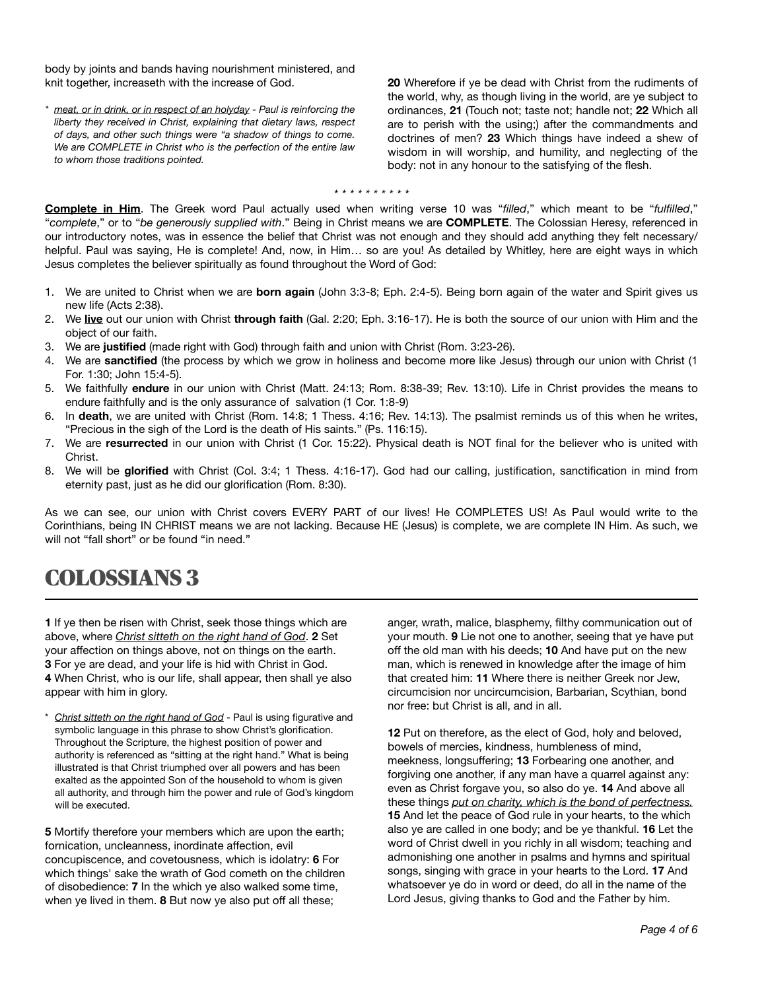body by joints and bands having nourishment ministered, and knit together, increaseth with the increase of God.

*\* meat, or in drink, or in respect of an holyday - Paul is reinforcing the liberty they received in Christ, explaining that dietary laws, respect of days, and other such things were "a shadow of things to come. We are COMPLETE in Christ who is the perfection of the entire law to whom those traditions pointed.* 

**20** Wherefore if ye be dead with Christ from the rudiments of the world, why, as though living in the world, are ye subject to ordinances, **21** (Touch not; taste not; handle not; **22** Which all are to perish with the using;) after the commandments and doctrines of men? **23** Which things have indeed a shew of wisdom in will worship, and humility, and neglecting of the body: not in any honour to the satisfying of the flesh.

#### *\* \* \* \* \* \* \* \* \* \**

**Complete in Him**. The Greek word Paul actually used when writing verse 10 was "*filled*," which meant to be "*fulfilled*," "*complete*," or to "*be generously supplied with*." Being in Christ means we are **COMPLETE**. The Colossian Heresy, referenced in our introductory notes, was in essence the belief that Christ was not enough and they should add anything they felt necessary/ helpful. Paul was saying, He is complete! And, now, in Him... so are you! As detailed by Whitley, here are eight ways in which Jesus completes the believer spiritually as found throughout the Word of God:

- 1. We are united to Christ when we are **born again** (John 3:3-8; Eph. 2:4-5). Being born again of the water and Spirit gives us new life (Acts 2:38).
- 2. We **live** out our union with Christ **through faith** (Gal. 2:20; Eph. 3:16-17). He is both the source of our union with Him and the object of our faith.
- 3. We are **justified** (made right with God) through faith and union with Christ (Rom. 3:23-26).
- 4. We are **sanctified** (the process by which we grow in holiness and become more like Jesus) through our union with Christ (1 For. 1:30; John 15:4-5).
- 5. We faithfully **endure** in our union with Christ (Matt. 24:13; Rom. 8:38-39; Rev. 13:10). Life in Christ provides the means to endure faithfully and is the only assurance of salvation (1 Cor. 1:8-9)
- 6. In **death**, we are united with Christ (Rom. 14:8; 1 Thess. 4:16; Rev. 14:13). The psalmist reminds us of this when he writes, "Precious in the sigh of the Lord is the death of His saints." (Ps. 116:15).
- 7. We are **resurrected** in our union with Christ (1 Cor. 15:22). Physical death is NOT final for the believer who is united with Christ.
- 8. We will be **glorified** with Christ (Col. 3:4; 1 Thess. 4:16-17). God had our calling, justification, sanctification in mind from eternity past, just as he did our glorification (Rom. 8:30).

As we can see, our union with Christ covers EVERY PART of our lives! He COMPLETES US! As Paul would write to the Corinthians, being IN CHRIST means we are not lacking. Because HE (Jesus) is complete, we are complete IN Him. As such, we will not "fall short" or be found "in need."

# COLOSSIANS 3

**1** If ye then be risen with Christ, seek those things which are above, where *Christ sitteth on the right hand of God*. **2** Set your affection on things above, not on things on the earth. **3** For ye are dead, and your life is hid with Christ in God. **4** When Christ, who is our life, shall appear, then shall ye also appear with him in glory.

Christ sitteth on the right hand of God - Paul is using figurative and symbolic language in this phrase to show Christ's glorification. Throughout the Scripture, the highest position of power and authority is referenced as "sitting at the right hand." What is being illustrated is that Christ triumphed over all powers and has been exalted as the appointed Son of the household to whom is given all authority, and through him the power and rule of God's kingdom will be executed.

**5** Mortify therefore your members which are upon the earth; fornication, uncleanness, inordinate affection, evil concupiscence, and covetousness, which is idolatry: **6** For which things' sake the wrath of God cometh on the children of disobedience: **7** In the which ye also walked some time, when ye lived in them. **8** But now ye also put off all these;

anger, wrath, malice, blasphemy, filthy communication out of your mouth. **9** Lie not one to another, seeing that ye have put off the old man with his deeds; **10** And have put on the new man, which is renewed in knowledge after the image of him that created him: **11** Where there is neither Greek nor Jew, circumcision nor uncircumcision, Barbarian, Scythian, bond nor free: but Christ is all, and in all.

**12** Put on therefore, as the elect of God, holy and beloved, bowels of mercies, kindness, humbleness of mind, meekness, longsuffering; **13** Forbearing one another, and forgiving one another, if any man have a quarrel against any: even as Christ forgave you, so also do ye. **14** And above all these things *put on charity, which is the bond of perfectness.* **15** And let the peace of God rule in your hearts, to the which also ye are called in one body; and be ye thankful. **16** Let the word of Christ dwell in you richly in all wisdom; teaching and admonishing one another in psalms and hymns and spiritual songs, singing with grace in your hearts to the Lord. **17** And whatsoever ye do in word or deed, do all in the name of the Lord Jesus, giving thanks to God and the Father by him.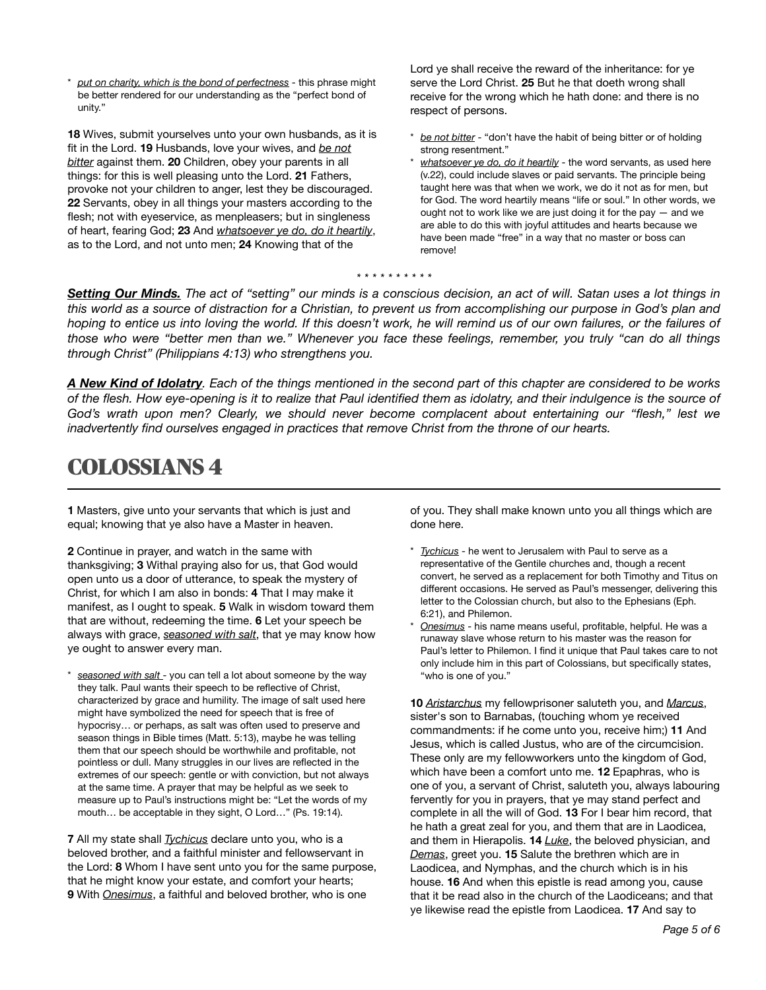put on charity, which is the bond of perfectness - this phrase might be better rendered for our understanding as the "perfect bond of unity."

**18** Wives, submit yourselves unto your own husbands, as it is fit in the Lord. **19** Husbands, love your wives, and *be not bitter* against them. **20** Children, obey your parents in all things: for this is well pleasing unto the Lord. **21** Fathers, provoke not your children to anger, lest they be discouraged. **22** Servants, obey in all things your masters according to the flesh; not with eyeservice, as menpleasers; but in singleness of heart, fearing God; **23** And *whatsoever ye do, do it heartily*, as to the Lord, and not unto men; **24** Knowing that of the

Lord ye shall receive the reward of the inheritance: for ye serve the Lord Christ. **25** But he that doeth wrong shall receive for the wrong which he hath done: and there is no respect of persons.

- be not bitter "don't have the habit of being bitter or of holding strong resentment."
- whatsoever ye do, do it heartily the word servants, as used here (v.22), could include slaves or paid servants. The principle being taught here was that when we work, we do it not as for men, but for God. The word heartily means "life or soul." In other words, we ought not to work like we are just doing it for the pay — and we are able to do this with joyful attitudes and hearts because we have been made "free" in a way that no master or boss can remove!

#### *\* \* \* \* \* \* \* \* \* \**

*Setting Our Minds. The act of "setting" our minds is a conscious decision, an act of will. Satan uses a lot things in this world as a source of distraction for a Christian, to prevent us from accomplishing our purpose in God's plan and*  hoping to entice us into loving the world. If this doesn't work, he will remind us of our own failures, or the failures of *those who were "better men than we." Whenever you face these feelings, remember, you truly "can do all things through Christ" (Philippians 4:13) who strengthens you.* 

*A New Kind of Idolatry. Each of the things mentioned in the second part of this chapter are considered to be works of the flesh. How eye-opening is it to realize that Paul identified them as idolatry, and their indulgence is the source of God's wrath upon men? Clearly, we should never become complacent about entertaining our "flesh," lest we inadvertently find ourselves engaged in practices that remove Christ from the throne of our hearts.* 

# COLOSSIANS 4

**1** Masters, give unto your servants that which is just and equal; knowing that ye also have a Master in heaven.

**2** Continue in prayer, and watch in the same with thanksgiving; **3** Withal praying also for us, that God would open unto us a door of utterance, to speak the mystery of Christ, for which I am also in bonds: **4** That I may make it manifest, as I ought to speak. **5** Walk in wisdom toward them that are without, redeeming the time. **6** Let your speech be always with grace, *seasoned with salt*, that ye may know how ye ought to answer every man.

seasoned with salt - you can tell a lot about someone by the way they talk. Paul wants their speech to be reflective of Christ, characterized by grace and humility. The image of salt used here might have symbolized the need for speech that is free of hypocrisy… or perhaps, as salt was often used to preserve and season things in Bible times (Matt. 5:13), maybe he was telling them that our speech should be worthwhile and profitable, not pointless or dull. Many struggles in our lives are reflected in the extremes of our speech: gentle or with conviction, but not always at the same time. A prayer that may be helpful as we seek to measure up to Paul's instructions might be: "Let the words of my mouth… be acceptable in they sight, O Lord…" (Ps. 19:14).

**7** All my state shall *Tychicus* declare unto you, who is a beloved brother, and a faithful minister and fellowservant in the Lord: **8** Whom I have sent unto you for the same purpose, that he might know your estate, and comfort your hearts; **9** With *Onesimus*, a faithful and beloved brother, who is one

of you. They shall make known unto you all things which are done here.

- Tychicus he went to Jerusalem with Paul to serve as a representative of the Gentile churches and, though a recent convert, he served as a replacement for both Timothy and Titus on different occasions. He served as Paul's messenger, delivering this letter to the Colossian church, but also to the Ephesians (Eph. 6:21), and Philemon.
- \* *Onesimus* his name means useful, profitable, helpful. He was a runaway slave whose return to his master was the reason for Paul's letter to Philemon. I find it unique that Paul takes care to not only include him in this part of Colossians, but specifically states, "who is one of you."

**10** *Aristarchus* my fellowprisoner saluteth you, and *Marcus*, sister's son to Barnabas, (touching whom ye received commandments: if he come unto you, receive him;) **11** And Jesus, which is called Justus, who are of the circumcision. These only are my fellowworkers unto the kingdom of God, which have been a comfort unto me. **12** Epaphras, who is one of you, a servant of Christ, saluteth you, always labouring fervently for you in prayers, that ye may stand perfect and complete in all the will of God. **13** For I bear him record, that he hath a great zeal for you, and them that are in Laodicea, and them in Hierapolis. **14** *Luke*, the beloved physician, and *Demas*, greet you. **15** Salute the brethren which are in Laodicea, and Nymphas, and the church which is in his house. **16** And when this epistle is read among you, cause that it be read also in the church of the Laodiceans; and that ye likewise read the epistle from Laodicea. **17** And say to